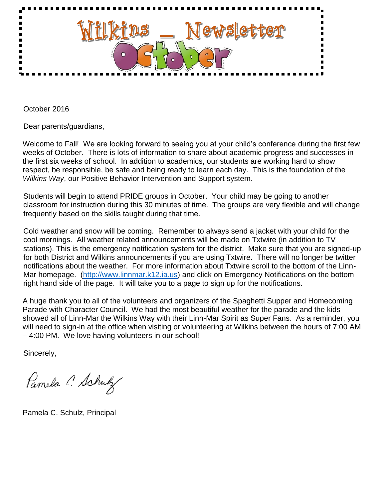

October 2016

Dear parents/guardians,

Welcome to Fall! We are looking forward to seeing you at your child's conference during the first few weeks of October. There is lots of information to share about academic progress and successes in the first six weeks of school. In addition to academics, our students are working hard to show respect, be responsible, be safe and being ready to learn each day. This is the foundation of the *Wilkins Way*, our Positive Behavior Intervention and Support system.

Students will begin to attend PRIDE groups in October. Your child may be going to another classroom for instruction during this 30 minutes of time. The groups are very flexible and will change frequently based on the skills taught during that time.

Cold weather and snow will be coming. Remember to always send a jacket with your child for the cool mornings. All weather related announcements will be made on Txtwire (in addition to TV stations). This is the emergency notification system for the district. Make sure that you are signed-up for both District and Wilkins announcements if you are using Txtwire. There will no longer be twitter notifications about the weather. For more information about Txtwire scroll to the bottom of the Linn-Mar homepage. [\(http://www.linnmar.k12.ia.us\)](http://www.linnmar.k12.ia.us/) and click on Emergency Notifications on the bottom right hand side of the page. It will take you to a page to sign up for the notifications.

A huge thank you to all of the volunteers and organizers of the Spaghetti Supper and Homecoming Parade with Character Council. We had the most beautiful weather for the parade and the kids showed all of Linn-Mar the Wilkins Way with their Linn-Mar Spirit as Super Fans. As a reminder, you will need to sign-in at the office when visiting or volunteering at Wilkins between the hours of 7:00 AM – 4:00 PM. We love having volunteers in our school!

Sincerely,

Pamela C. Schulz

Pamela C. Schulz, Principal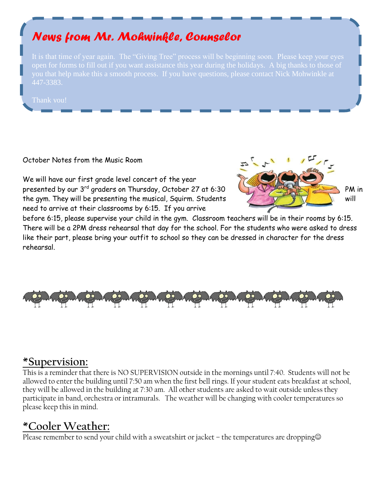# *News from Mr. Mohwinkle, Counselor*

you that help make this a smooth process. If you have questions, please contact Nick Mohwinkle at

#### October Notes from the Music Room

We will have our first grade level concert of the year presented by our 3<sup>rd</sup> graders on Thursday, October 27 at 6:30 the gym. They will be presenting the musical, Squirm. Students  $\mathcal{L} = \mathcal{L}$ need to arrive at their classrooms by 6:15. If you arrive



before 6:15, please supervise your child in the gym. Classroom teachers will be in their rooms by 6:15. There will be a 2PM dress rehearsal that day for the school. For the students who were asked to dress like their part, please bring your outfit to school so they can be dressed in character for the dress rehearsal.



## **\*Supervision:**

This is a reminder that there is NO SUPERVISION outside in the mornings until 7:40. Students will not be allowed to enter the building until 7:50 am when the first bell rings. If your student eats breakfast at school, they will be allowed in the building at 7:30 am. All other students are asked to wait outside unless they participate in band, orchestra or intramurals. The weather will be changing with cooler temperatures so please keep this in mind.

## **\*Cooler Weather:**

Please remember to send your child with a sweatshirt or jacket – the temperatures are dropping $\odot$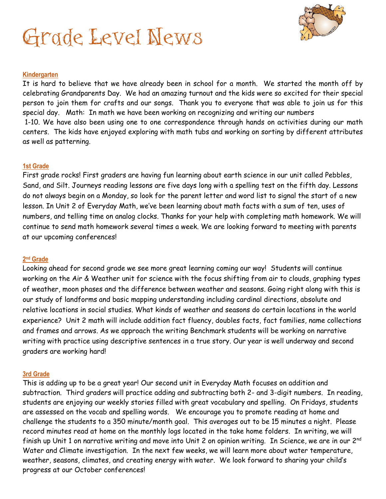# Grade Level News



#### **Kindergarten**

It is hard to believe that we have already been in school for a month. We started the month off by celebrating Grandparents Day. We had an amazing turnout and the kids were so excited for their special person to join them for crafts and our songs. Thank you to everyone that was able to join us for this special day. Math: In math we have been working on recognizing and writing our numbers 1-10. We have also been using one to one correspondence through hands on activities during our math centers. The kids have enjoyed exploring with math tubs and working on sorting by different attributes as well as patterning.

#### **1st Grade**

First grade rocks! First graders are having fun learning about earth science in our unit called Pebbles, Sand, and Silt. Journeys reading lessons are five days long with a spelling test on the fifth day. Lessons do not always begin on a Monday, so look for the parent letter and word list to signal the start of a new lesson. In Unit 2 of Everyday Math, we've been learning about math facts with a sum of ten, uses of numbers, and telling time on analog clocks. Thanks for your help with completing math homework. We will continue to send math homework several times a week. We are looking forward to meeting with parents at our upcoming conferences!

#### **2 nd Grade**

Looking ahead for second grade we see more great learning coming our way! Students will continue working on the Air & Weather unit for science with the focus shifting from air to clouds, graphing types of weather, moon phases and the difference between weather and seasons. Going right along with this is our study of landforms and basic mapping understanding including cardinal directions, absolute and relative locations in social studies. What kinds of weather and seasons do certain locations in the world experience? Unit 2 math will include addition fact fluency, doubles facts, fact families, name collections and frames and arrows. As we approach the writing Benchmark students will be working on narrative writing with practice using descriptive sentences in a true story. Our year is well underway and second graders are working hard!

#### **3rd Grade**

This is adding up to be a great year! Our second unit in Everyday Math focuses on addition and subtraction. Third graders will practice adding and subtracting both 2- and 3-digit numbers. In reading, students are enjoying our weekly stories filled with great vocabulary and spelling. On Fridays, students are assessed on the vocab and spelling words. We encourage you to promote reading at home and challenge the students to a 350 minute/month goal. This averages out to be 15 minutes a night. Please record minutes read at home on the monthly logs located in the take home folders. In writing, we will finish up Unit 1 on narrative writing and move into Unit 2 on opinion writing. In Science, we are in our 2<sup>nd</sup> Water and Climate investigation. In the next few weeks, we will learn more about water temperature, weather, seasons, climates, and creating energy with water. We look forward to sharing your child's progress at our October conferences!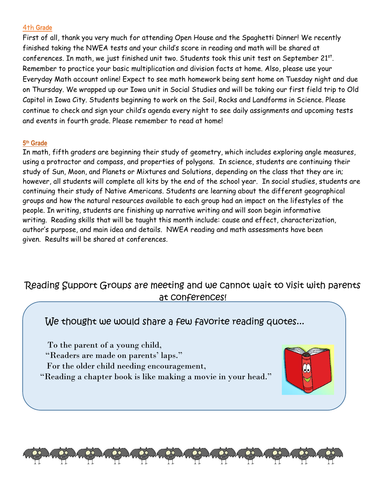#### 4th **Grade**

First of all, thank you very much for attending Open House and the Spaghetti Dinner! We recently finished taking the NWEA tests and your child's score in reading and math will be shared at conferences. In math, we just finished unit two. Students took this unit test on September 21 $^{\rm st}$ . Remember to practice your basic multiplication and division facts at home. Also, please use your Everyday Math account online! Expect to see math homework being sent home on Tuesday night and due on Thursday. We wrapped up our Iowa unit in Social Studies and will be taking our first field trip to Old Capitol in Iowa City. Students beginning to work on the Soil, Rocks and Landforms in Science. Please continue to check and sign your child's agenda every night to see daily assignments and upcoming tests and events in fourth grade. Please remember to read at home!

#### **5 th Grade**

 $\overline{1}$ 

In math, fifth graders are beginning their study of geometry, which includes exploring angle measures, using a protractor and compass, and properties of polygons. In science, students are continuing their study of Sun, Moon, and Planets or Mixtures and Solutions, depending on the class that they are in; however, all students will complete all kits by the end of the school year. In social studies, students are continuing their study of Native Americans. Students are learning about the different geographical groups and how the natural resources available to each group had an impact on the lifestyles of the people. In writing, students are finishing up narrative writing and will soon begin informative writing. Reading skills that will be taught this month include: cause and effect, characterization, author's purpose, and main idea and details. NWEA reading and math assessments have been given. Results will be shared at conferences.

## Reading Support Groups are meeting and we cannot wait to visit with parents at conferences!

We thought we would share a few favorite reading quotes...

To the parent of a young child,

"Readers are made on parents' laps."

- For the older child needing encouragement,
- "Reading a chapter book is like making a movie in your head."

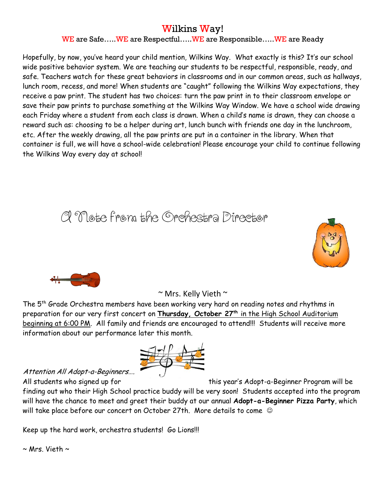## Wilkins Way!

#### WE are Safe.....WE are Respectful.....WE are Responsible.....WE are Ready

Hopefully, by now, you've heard your child mention, Wilkins Way. What exactly is this? It's our school wide positive behavior system. We are teaching our students to be respectful, responsible, ready, and safe. Teachers watch for these great behaviors in classrooms and in our common areas, such as hallways, lunch room, recess, and more! When students are "caught" following the Wilkins Way expectations, they receive a paw print. The student has two choices: turn the paw print in to their classroom envelope or save their paw prints to purchase something at the Wilkins Way Window. We have a school wide drawing each Friday where a student from each class is drawn. When a child's name is drawn, they can choose a reward such as: choosing to be a helper during art, lunch bunch with friends one day in the lunchroom, etc. After the weekly drawing, all the paw prints are put in a container in the library. When that container is full, we will have a school-wide celebration! Please encourage your child to continue following the Wilkins Way every day at school!

# A Note from the Orchestra Director





### $\sim$  Mrs. Kelly Vieth  $\sim$

The 5<sup>th</sup> Grade Orchestra members have been working very hard on reading notes and rhythms in preparation for our very first concert on **Thursday, October 27th** in the High School Auditorium beginning at 6:00 PM. All family and friends are encouraged to attend!!! Students will receive more information about our performance later this month.



### Attention All Adopt-a-Beginners….

All students who signed up for this year's Adopt-a-Beginner Program will be

finding out who their High School practice buddy will be very soon! Students accepted into the program will have the chance to meet and greet their buddy at our annual **Adopt-a-Beginner Pizza Party**, which will take place before our concert on October 27th. More details to come  $\heartsuit$ 

Keep up the hard work, orchestra students! Go Lions!!!

 $\sim$  Mrs. Vieth  $\sim$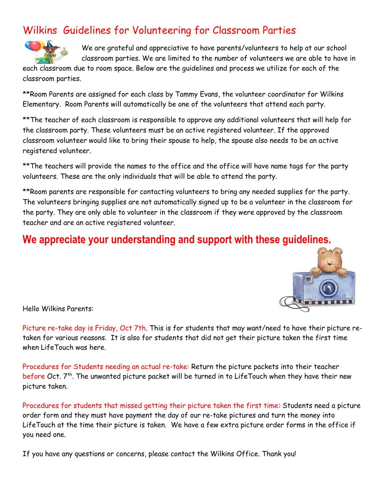# Wilkins Guidelines for Volunteering for Classroom Parties



We are grateful and appreciative to have parents/volunteers to help at our school classroom parties. We are limited to the number of volunteers we are able to have in

each classroom due to room space. Below are the guidelines and process we utilize for each of the classroom parties.

\*\*Room Parents are assigned for each class by Tammy Evans, the volunteer coordinator for Wilkins Elementary. Room Parents will automatically be one of the volunteers that attend each party.

\*\*The teacher of each classroom is responsible to approve any additional volunteers that will help for the classroom party. These volunteers must be an active registered volunteer. If the approved classroom volunteer would like to bring their spouse to help, the spouse also needs to be an active registered volunteer.

\*\*The teachers will provide the names to the office and the office will have name tags for the party volunteers. These are the only individuals that will be able to attend the party.

\*\*Room parents are responsible for contacting volunteers to bring any needed supplies for the party. The volunteers bringing supplies are not automatically signed up to be a volunteer in the classroom for the party. They are only able to volunteer in the classroom if they were approved by the classroom teacher and are an active registered volunteer.

## **We appreciate your understanding and support with these guidelines.**



Hello Wilkins Parents:

Picture re-take day is Friday, Oct 7th. This is for students that may want/need to have their picture retaken for various reasons. It is also for students that did not get their picture taken the first time when LifeTouch was here.

Procedures for Students needing an actual re-take: Return the picture packets into their teacher before Oct. 7<sup>th</sup>. The unwanted picture packet will be turned in to LifeTouch when they have their new picture taken.

Procedures for students that missed getting their picture taken the first time: Students need a picture order form and they must have payment the day of our re-take pictures and turn the money into LifeTouch at the time their picture is taken. We have a few extra picture order forms in the office if you need one.

If you have any questions or concerns, please contact the Wilkins Office. Thank you!